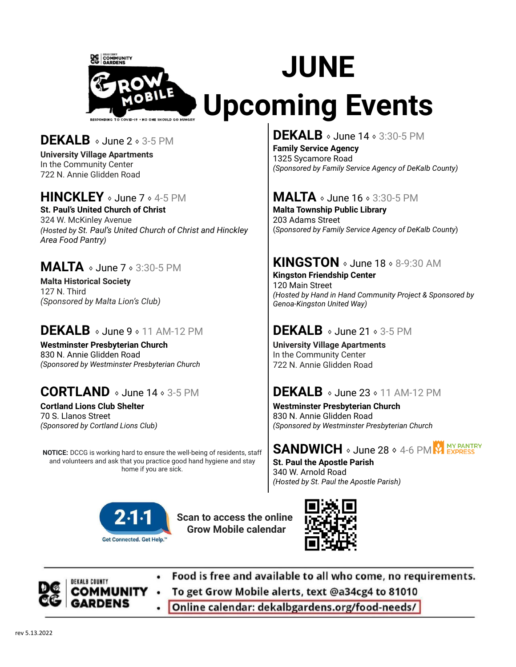

# **DEKALB** ⬧ June 2 ⬧ 3-5 PM

**University Village Apartments** In the Community Center 722 N. Annie Glidden Road

#### **HINCKLEY** ⬧ June 7 ⬧ 4-5 PM

**St. Paul's United Church of Christ** 324 W. McKinley Avenue *(Hosted by St. Paul's United Church of Christ and Hinckley Area Food Pantry)*

#### **MALTA** ⬧ June 7 ⬧ 3:30-5 PM

**Malta Historical Society** 127 N. Third *(Sponsored by Malta Lion's Club)*

# **DEKALB**  $\circ$  June 9  $\circ$  11 AM-12 PM

**Westminster Presbyterian Church** 830 N. Annie Glidden Road *(Sponsored by Westminster Presbyterian Church*

# **CORTLAND** ⬧ June 14 ⬧ 3-5 PM

**Cortland Lions Club Shelter** 70 S. Llanos Street *(Sponsored by Cortland Lions Club)*

**NOTICE:** DCCG is working hard to ensure the well-being of residents, staff and volunteers and ask that you practice good hand hygiene and stay home if you are sick.



**Scan to access the online Grow Mobile calendar**



Food is free and available to all who come, no requirements.

**ALB COUNTY** 

- To get Grow Mobile alerts, text @a34cg4 to 81010
- Online calendar: dekalbgardens.org/food-needs/

# **DEKALB**  $\circ$  June 14  $\circ$  3:30-5 PM

**Family Service Agency** 1325 Sycamore Road *(Sponsored by Family Service Agency of DeKalb County)*

# **MALTA**  $\circ$  June 16  $\circ$  3:30-5 PM

**Malta Township Public Library** 203 Adams Street (*Sponsored by Family Service Agency of DeKalb County*)

# **KINGSTON**  $\circ$  June 18  $\circ$  8-9:30 AM

**Kingston Friendship Center** 120 Main Street *(Hosted by Hand in Hand Community Project & Sponsored by Genoa-Kingston United Way)*

# **DEKALB**  $\circ$  June 21  $\circ$  3-5 PM

**University Village Apartments** In the Community Center 722 N. Annie Glidden Road

#### **DEKALB** ⬧ June 23 ⬧ 11 AM-12 PM

**Westminster Presbyterian Church** 830 N. Annie Glidden Road *(Sponsored by Westminster Presbyterian Church*

#### **MY PANTRY SANDWICH** ⬧ June 28 ⬧ 4-6 PM

**St. Paul the Apostle Parish** 340 W. Arnold Road *(Hosted by St. Paul the Apostle Parish)*